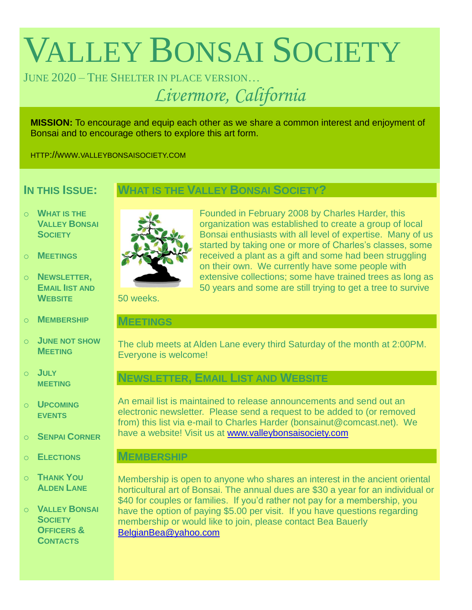# VALLEY BONSAI SOCIETY

# JUNE 2020 – THE SHELTER IN PLACE VERSION…

*Livermore, California*

**MISSION:** To encourage and equip each other as we share a common interest and enjoyment of Bonsai and to encourage others to explore this art form.

HTTP://WWW.VALLEYBONSAISOCIETY.COM

# **IN THIS ISSUE:**

# **WHAT IS THE VALLEY BONSAI SOCIETY?**

- o **WHAT IS THE VALLEY BONSAI SOCIETY**
- o **MEETINGS**
- o **NEWSLETTER, EMAIL IIST AND WEBSITE**
- o **MEMBERSHIP**
- o **JUNE NOT SHOW MEETING**
- o **JULY MEETING**
- o **UPCOMING EVENTS**
- o **SENPAI CORNER**
- o **ELECTIONS**
- o **THANK YOU ALDEN LANE**

o **VALLEY BONSAI SOCIETY OFFICERS & CONTACTS**



Founded in February 2008 by Charles Harder, this organization was established to create a group of local Bonsai enthusiasts with all level of expertise. Many of us started by taking one or more of Charles's classes, some received a plant as a gift and some had been struggling on their own. We currently have some people with extensive collections; some have trained trees as long as 50 years and some are still trying to get a tree to survive

50 weeks.

## **MEETINGS**

The club meets at Alden Lane every third Saturday of the month at 2:00PM. Everyone is welcome!

# **NEWSLETTER, EMAIL LIST AND WEBSITE**

An email list is maintained to release announcements and send out an electronic newsletter. Please send a request to be added to (or removed from) this list via e-mail to Charles Harder (bonsainut@comcast.net). We have a website! Visit us at [www.valleybonsaisociety.com](http://www.valleybonsaisociety.com/)

## **MEMBERSHIP**

Membership is open to anyone who shares an interest in the ancient oriental horticultural art of Bonsai. The annual dues are \$30 a year for an individual or \$40 for couples or families. If you'd rather not pay for a membership, you have the option of paying \$5.00 per visit. If you have questions regarding membership or would like to join, please contact Bea Bauerly [BelgianBea@yahoo.com](mailto:BelgianBea@yahoo.com)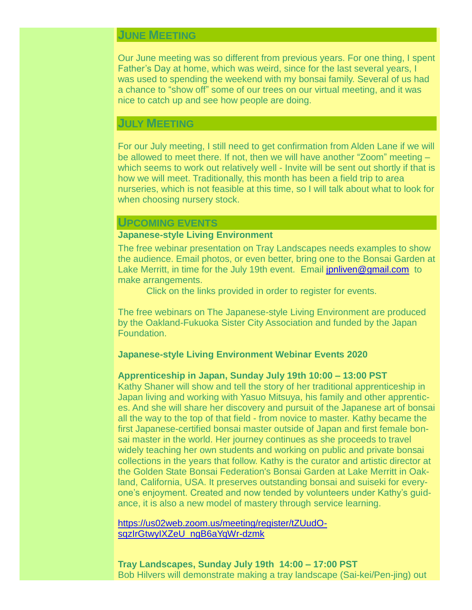# **JUNE MEETING**

Our June meeting was so different from previous years. For one thing, I spent Father's Day at home, which was weird, since for the last several years, I was used to spending the weekend with my bonsai family. Several of us had a chance to "show off" some of our trees on our virtual meeting, and it was nice to catch up and see how people are doing.

## **JULY MEETING**

For our July meeting, I still need to get confirmation from Alden Lane if we will be allowed to meet there. If not, then we will have another "Zoom" meeting – which seems to work out relatively well - Invite will be sent out shortly if that is how we will meet. Traditionally, this month has been a field trip to area nurseries, which is not feasible at this time, so I will talk about what to look for when choosing nursery stock.

#### **UPCOMING EVENTS**

#### **Japanese-style Living Environment**

The free webinar presentation on Tray Landscapes needs examples to show the audience. Email photos, or even better, bring one to the Bonsai Garden at Lake Merritt, in time for the July 19th event. Email [jpnliven@gmail.com](mailto:jpnliven@gmail.com) to make arrangements.

Click on the links provided in order to register for events.

The free webinars on The Japanese-style Living Environment are produced by the Oakland-Fukuoka Sister City Association and funded by the Japan Foundation.

#### **Japanese-style Living Environment Webinar Events 2020**

#### **Apprenticeship in Japan, Sunday July 19th 10:00 – 13:00 PST**

Kathy Shaner will show and tell the story of her traditional apprenticeship in Japan living and working with Yasuo Mitsuya, his family and other apprentices. And she will share her discovery and pursuit of the Japanese art of bonsai all the way to the top of that field - from novice to master. Kathy became the first Japanese-certified bonsai master outside of Japan and first female bonsai master in the world. Her journey continues as she proceeds to travel widely teaching her own students and working on public and private bonsai collections in the years that follow. Kathy is the curator and artistic director at the Golden State Bonsai Federation's Bonsai Garden at Lake Merritt in Oakland, California, USA. It preserves outstanding bonsai and suiseki for everyone's enjoyment. Created and now tended by volunteers under Kathy's guidance, it is also a new model of mastery through service learning.

[https://us02web.zoom.us/meeting/register/tZUudO](https://us02web.zoom.us/meeting/register/tZUudO-sqzIrGtwyIXZeU_ngB6aYqWr-dzmk)[sqzIrGtwyIXZeU\\_ngB6aYqWr-dzmk](https://us02web.zoom.us/meeting/register/tZUudO-sqzIrGtwyIXZeU_ngB6aYqWr-dzmk)

**Tray Landscapes, Sunday July 19th 14:00 – 17:00 PST** Bob Hilvers will demonstrate making a tray landscape (Sai-kei/Pen-jing) out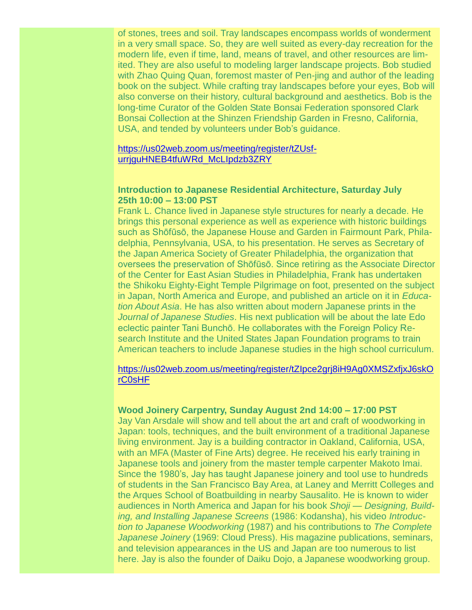of stones, trees and soil. Tray landscapes encompass worlds of wonderment in a very small space. So, they are well suited as every-day recreation for the modern life, even if time, land, means of travel, and other resources are limited. They are also useful to modeling larger landscape projects. Bob studied with Zhao Quing Quan, foremost master of Pen-jing and author of the leading book on the subject. While crafting tray landscapes before your eyes, Bob will also converse on their history, cultural background and aesthetics. Bob is the long-time Curator of the Golden State Bonsai Federation sponsored Clark Bonsai Collection at the Shinzen Friendship Garden in Fresno, California, USA, and tended by volunteers under Bob's guidance.

#### [https://us02web.zoom.us/meeting/register/tZUsf](https://us02web.zoom.us/meeting/register/tZUsf-urrjguHNEB4tfuWRd_McLIpdzb3ZRY)[urrjguHNEB4tfuWRd\\_McLIpdzb3ZRY](https://us02web.zoom.us/meeting/register/tZUsf-urrjguHNEB4tfuWRd_McLIpdzb3ZRY)

#### **Introduction to Japanese Residential Architecture, Saturday July 25th 10:00 – 13:00 PST**

Frank L. Chance lived in Japanese style structures for nearly a decade. He brings this personal experience as well as experience with historic buildings such as Shōfūsō, the Japanese House and Garden in Fairmount Park, Philadelphia, Pennsylvania, USA, to his presentation. He serves as Secretary of the Japan America Society of Greater Philadelphia, the organization that oversees the preservation of Shōfūsō. Since retiring as the Associate Director of the Center for East Asian Studies in Philadelphia, Frank has undertaken the Shikoku Eighty-Eight Temple Pilgrimage on foot, presented on the subject in Japan, North America and Europe, and published an article on it in *Education About Asia*. He has also written about modern Japanese prints in the *Journal of Japanese Studies*. His next publication will be about the late Edo eclectic painter Tani Bunchō. He collaborates with the Foreign Policy Research Institute and the United States Japan Foundation programs to train American teachers to include Japanese studies in the high school curriculum.

#### [https://us02web.zoom.us/meeting/register/tZIpce2grj8iH9Ag0XMSZxfjxJ6skO](https://us02web.zoom.us/meeting/register/tZIpce2grj8iH9Ag0XMSZxfjxJ6skOrC0sHF) [rC0sHF](https://us02web.zoom.us/meeting/register/tZIpce2grj8iH9Ag0XMSZxfjxJ6skOrC0sHF)

### **Wood Joinery Carpentry, Sunday August 2nd 14:00 – 17:00 PST**

Jay Van Arsdale will show and tell about the art and craft of woodworking in Japan: tools, techniques, and the built environment of a traditional Japanese living environment. Jay is a building contractor in Oakland, California, USA, with an MFA (Master of Fine Arts) degree. He received his early training in Japanese tools and joinery from the master temple carpenter Makoto Imai. Since the 1980's, Jay has taught Japanese joinery and tool use to hundreds of students in the San Francisco Bay Area, at Laney and Merritt Colleges and the Arques School of Boatbuilding in nearby Sausalito. He is known to wider audiences in North America and Japan for his book *Shoji — Designing, Building, and Installing Japanese Screens* (1986: Kodansha), his video *Introduction to Japanese Woodworking* (1987) and his contributions to *The Complete Japanese Joinery* (1969: Cloud Press). His magazine publications, seminars, and television appearances in the US and Japan are too numerous to list here. Jay is also the founder of Daiku Dojo, a Japanese woodworking group.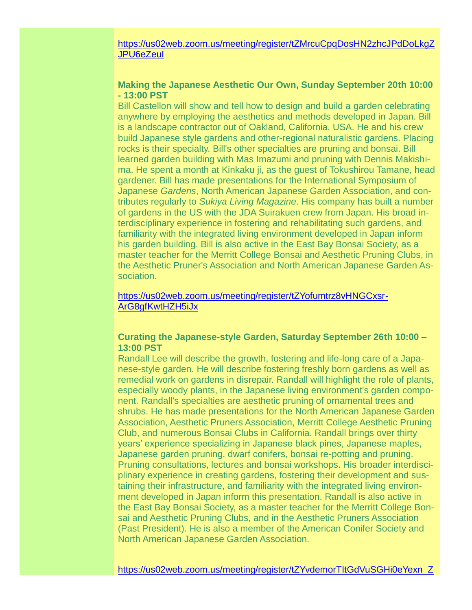## [https://us02web.zoom.us/meeting/register/tZMrcuCpqDosHN2zhcJPdDoLkgZ](https://us02web.zoom.us/meeting/register/tZMrcuCpqDosHN2zhcJPdDoLkgZJPU6eZeuI) [JPU6eZeuI](https://us02web.zoom.us/meeting/register/tZMrcuCpqDosHN2zhcJPdDoLkgZJPU6eZeuI)

## **Making the Japanese Aesthetic Our Own, Sunday September 20th 10:00 - 13:00 PST**

Bill Castellon will show and tell how to design and build a garden celebrating anywhere by employing the aesthetics and methods developed in Japan. Bill is a landscape contractor out of Oakland, California, USA. He and his crew build Japanese style gardens and other-regional naturalistic gardens. Placing rocks is their specialty. Bill's other specialties are pruning and bonsai. Bill learned garden building with Mas Imazumi and pruning with Dennis Makishima. He spent a month at Kinkaku ji, as the guest of Tokushirou Tamane, head gardener. Bill has made presentations for the International Symposium of Japanese *Gardens*, North American Japanese Garden Association, and contributes regularly to *Sukiya Living Magazine*. His company has built a number of gardens in the US with the JDA Suirakuen crew from Japan. His broad interdisciplinary experience in fostering and rehabilitating such gardens, and familiarity with the integrated living environment developed in Japan inform his garden building. Bill is also active in the East Bay Bonsai Society, as a master teacher for the Merritt College Bonsai and Aesthetic Pruning Clubs, in the Aesthetic Pruner's Association and North American Japanese Garden Association.

#### [https://us02web.zoom.us/meeting/register/tZYofumtrz8vHNGCxsr-](https://us02web.zoom.us/meeting/register/tZYofumtrz8vHNGCxsr-ArG8gfKwtHZH5iJx)[ArG8gfKwtHZH5iJx](https://us02web.zoom.us/meeting/register/tZYofumtrz8vHNGCxsr-ArG8gfKwtHZH5iJx)

## **Curating the Japanese-style Garden, Saturday September 26th 10:00 – 13:00 PST**

Randall Lee will describe the growth, fostering and life-long care of a Japanese-style garden. He will describe fostering freshly born gardens as well as remedial work on gardens in disrepair. Randall will highlight the role of plants, especially woody plants, in the Japanese living environment's garden component. Randall's specialties are aesthetic pruning of ornamental trees and shrubs. He has made presentations for the North American Japanese Garden Association, Aesthetic Pruners Association, Merritt College Aesthetic Pruning Club, and numerous Bonsai Clubs in California. Randall brings over thirty years' experience specializing in Japanese black pines, Japanese maples, Japanese garden pruning, dwarf conifers, bonsai re-potting and pruning. Pruning consultations, lectures and bonsai workshops. His broader interdisciplinary experience in creating gardens, fostering their development and sustaining their infrastructure, and familiarity with the integrated living environment developed in Japan inform this presentation. Randall is also active in the East Bay Bonsai Society, as a master teacher for the Merritt College Bonsai and Aesthetic Pruning Clubs, and in the Aesthetic Pruners Association (Past President). He is also a member of the American Conifer Society and North American Japanese Garden Association.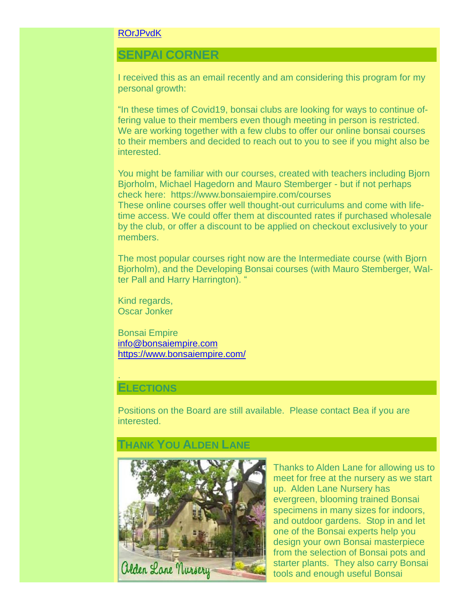#### [ROrJPvdK](https://us02web.zoom.us/meeting/register/tZYvdemorTItGdVuSGHi0eYexn_ZROrJPvdK)

# **SENPAI CORNER**

I received this as an email recently and am considering this program for my personal growth:

"In these times of Covid19, bonsai clubs are looking for ways to continue offering value to their members even though meeting in person is restricted. We are working together with a few clubs to offer our online bonsai courses to their members and decided to reach out to you to see if you might also be interested.

You might be familiar with our courses, created with teachers including Bjorn Bjorholm, Michael Hagedorn and Mauro Stemberger - but if not perhaps check here: <https://www.bonsaiempire.com/courses> These online courses offer well thought-out curriculums and come with lifetime access. We could offer them at discounted rates if purchased wholesale by the club, or offer a discount to be applied on checkout exclusively to your members.

The most popular courses right now are the Intermediate course (with Bjorn Bjorholm), and the Developing Bonsai courses (with Mauro Stemberger, Walter Pall and Harry Harrington). "

Kind regards, Oscar Jonker

Bonsai Empire [info@bonsaiempire.com](mailto:info@bonsaiempire.com) <https://www.bonsaiempire.com/>

## **ELECTIONS**

.

Positions on the Board are still available. Please contact Bea if you are interested.

## **THANK YOU ALDEN LANE**



Thanks to Alden Lane for allowing us to meet for free at the nursery as we start up. Alden Lane Nursery has evergreen, blooming trained Bonsai specimens in many sizes for indoors, and outdoor gardens. Stop in and let one of the Bonsai experts help you design your own Bonsai masterpiece from the selection of Bonsai pots and starter plants. They also carry Bonsai tools and enough useful Bonsai